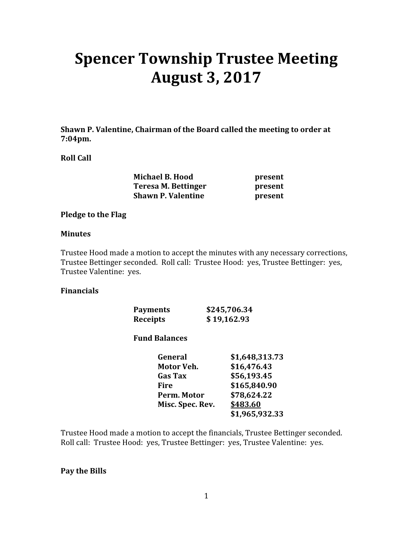# Spencer Township Trustee Meeting August 3, 2017

Shawn P. Valentine, Chairman of the Board called the meeting to order at 7:04pm.

### Roll Call

| <b>Michael B. Hood</b>    | present |
|---------------------------|---------|
| Teresa M. Bettinger       | present |
| <b>Shawn P. Valentine</b> | present |

#### Pledge to the Flag

#### Minutes

Trustee Hood made a motion to accept the minutes with any necessary corrections, Trustee Bettinger seconded. Roll call: Trustee Hood: yes, Trustee Bettinger: yes, Trustee Valentine: yes.

#### Financials

| <b>Payments</b> | \$245,706.34 |
|-----------------|--------------|
| Receipts        | \$19,162.93  |

## Fund Balances

| General          | \$1,648,313.73 |
|------------------|----------------|
| Motor Veh.       | \$16,476.43    |
| <b>Gas Tax</b>   | \$56,193.45    |
| Fire             | \$165,840.90   |
| Perm. Motor      | \$78,624.22    |
| Misc. Spec. Rev. | \$483.60       |
|                  | \$1,965,932.33 |

Trustee Hood made a motion to accept the financials, Trustee Bettinger seconded. Roll call: Trustee Hood: yes, Trustee Bettinger: yes, Trustee Valentine: yes.

#### Pay the Bills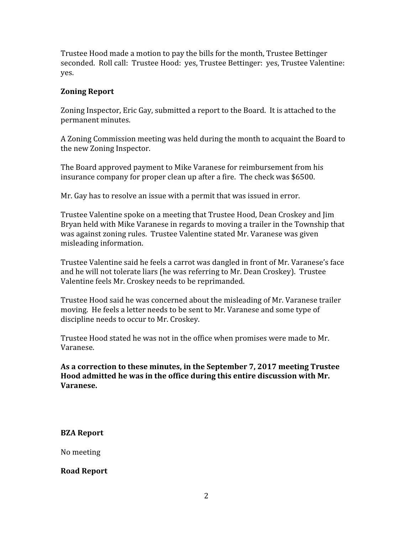Trustee Hood made a motion to pay the bills for the month, Trustee Bettinger seconded. Roll call: Trustee Hood: yes, Trustee Bettinger: yes, Trustee Valentine: yes.

## Zoning Report

Zoning Inspector, Eric Gay, submitted a report to the Board. It is attached to the permanent minutes.

A Zoning Commission meeting was held during the month to acquaint the Board to the new Zoning Inspector.

The Board approved payment to Mike Varanese for reimbursement from his insurance company for proper clean up after a fire. The check was \$6500.

Mr. Gay has to resolve an issue with a permit that was issued in error.

Trustee Valentine spoke on a meeting that Trustee Hood, Dean Croskey and Jim Bryan held with Mike Varanese in regards to moving a trailer in the Township that was against zoning rules. Trustee Valentine stated Mr. Varanese was given misleading information.

Trustee Valentine said he feels a carrot was dangled in front of Mr. Varanese's face and he will not tolerate liars (he was referring to Mr. Dean Croskey). Trustee Valentine feels Mr. Croskey needs to be reprimanded.

Trustee Hood said he was concerned about the misleading of Mr. Varanese trailer moving. He feels a letter needs to be sent to Mr. Varanese and some type of discipline needs to occur to Mr. Croskey.

Trustee Hood stated he was not in the office when promises were made to Mr. Varanese.

As a correction to these minutes, in the September 7, 2017 meeting Trustee Hood admitted he was in the office during this entire discussion with Mr. Varanese.

BZA Report

No meeting

Road Report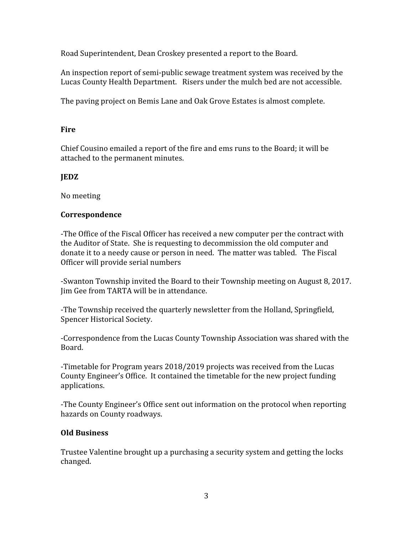Road Superintendent, Dean Croskey presented a report to the Board.

An inspection report of semi-public sewage treatment system was received by the Lucas County Health Department. Risers under the mulch bed are not accessible.

The paving project on Bemis Lane and Oak Grove Estates is almost complete.

## **Fire**

Chief Cousino emailed a report of the fire and ems runs to the Board; it will be attached to the permanent minutes.

# JEDZ

No meeting

## Correspondence

-The Office of the Fiscal Officer has received a new computer per the contract with the Auditor of State. She is requesting to decommission the old computer and donate it to a needy cause or person in need. The matter was tabled. The Fiscal Officer will provide serial numbers

-Swanton Township invited the Board to their Township meeting on August 8, 2017. Jim Gee from TARTA will be in attendance.

-The Township received the quarterly newsletter from the Holland, Springfield, Spencer Historical Society.

-Correspondence from the Lucas County Township Association was shared with the Board.

-Timetable for Program years 2018/2019 projects was received from the Lucas County Engineer's Office. It contained the timetable for the new project funding applications.

-The County Engineer's Office sent out information on the protocol when reporting hazards on County roadways.

# Old Business

Trustee Valentine brought up a purchasing a security system and getting the locks changed.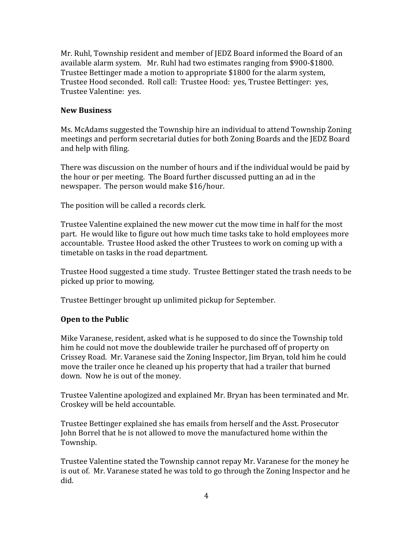Mr. Ruhl, Township resident and member of JEDZ Board informed the Board of an available alarm system. Mr. Ruhl had two estimates ranging from \$900-\$1800. Trustee Bettinger made a motion to appropriate \$1800 for the alarm system, Trustee Hood seconded. Roll call: Trustee Hood: yes, Trustee Bettinger: yes, Trustee Valentine: yes.

## New Business

Ms. McAdams suggested the Township hire an individual to attend Township Zoning meetings and perform secretarial duties for both Zoning Boards and the JEDZ Board and help with filing.

There was discussion on the number of hours and if the individual would be paid by the hour or per meeting. The Board further discussed putting an ad in the newspaper. The person would make \$16/hour.

The position will be called a records clerk.

Trustee Valentine explained the new mower cut the mow time in half for the most part. He would like to figure out how much time tasks take to hold employees more accountable. Trustee Hood asked the other Trustees to work on coming up with a timetable on tasks in the road department.

Trustee Hood suggested a time study. Trustee Bettinger stated the trash needs to be picked up prior to mowing.

Trustee Bettinger brought up unlimited pickup for September.

# Open to the Public

Mike Varanese, resident, asked what is he supposed to do since the Township told him he could not move the doublewide trailer he purchased off of property on Crissey Road. Mr. Varanese said the Zoning Inspector, Jim Bryan, told him he could move the trailer once he cleaned up his property that had a trailer that burned down. Now he is out of the money.

Trustee Valentine apologized and explained Mr. Bryan has been terminated and Mr. Croskey will be held accountable.

Trustee Bettinger explained she has emails from herself and the Asst. Prosecutor John Borrel that he is not allowed to move the manufactured home within the Township.

Trustee Valentine stated the Township cannot repay Mr. Varanese for the money he is out of. Mr. Varanese stated he was told to go through the Zoning Inspector and he did.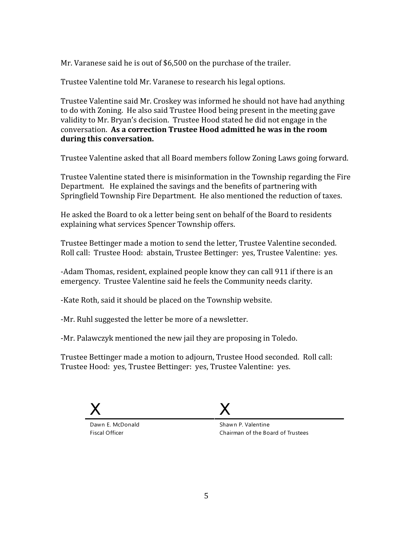Mr. Varanese said he is out of \$6,500 on the purchase of the trailer.

Trustee Valentine told Mr. Varanese to research his legal options.

Trustee Valentine said Mr. Croskey was informed he should not have had anything to do with Zoning. He also said Trustee Hood being present in the meeting gave validity to Mr. Bryan's decision. Trustee Hood stated he did not engage in the conversation. As a correction Trustee Hood admitted he was in the room during this conversation.

Trustee Valentine asked that all Board members follow Zoning Laws going forward.

Trustee Valentine stated there is misinformation in the Township regarding the Fire Department. He explained the savings and the benefits of partnering with Springfield Township Fire Department. He also mentioned the reduction of taxes.

He asked the Board to ok a letter being sent on behalf of the Board to residents explaining what services Spencer Township offers.

Trustee Bettinger made a motion to send the letter, Trustee Valentine seconded. Roll call: Trustee Hood: abstain, Trustee Bettinger: yes, Trustee Valentine: yes.

-Adam Thomas, resident, explained people know they can call 911 if there is an emergency. Trustee Valentine said he feels the Community needs clarity.

-Kate Roth, said it should be placed on the Township website.

-Mr. Ruhl suggested the letter be more of a newsletter.

-Mr. Palawczyk mentioned the new jail they are proposing in Toledo.

Trustee Bettinger made a motion to adjourn, Trustee Hood seconded. Roll call: Trustee Hood: yes, Trustee Bettinger: yes, Trustee Valentine: yes.



Dawn E. McDonald Fiscal Officer

Shawn P. Valentine Chairman of the Board of Trustees

X